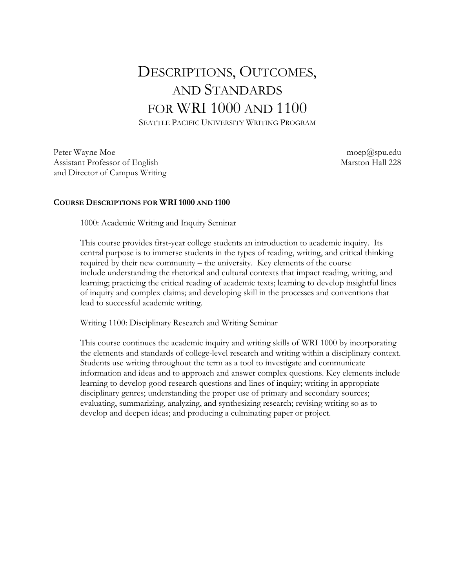## DESCRIPTIONS, OUTCOMES, AND STANDARDS FOR WRI 1000 AND 1100

SEATTLE PACIFIC UNIVERSITY WRITING PROGRAM

Peter Wayne Moe moep@spu.edu Assistant Professor of English Marston Hall 228 and Director of Campus Writing

## **COURSE DESCRIPTIONS FOR WRI 1000 AND 1100**

1000: Academic Writing and Inquiry Seminar

This course provides first-year college students an introduction to academic inquiry. Its central purpose is to immerse students in the types of reading, writing, and critical thinking required by their new community – the university. Key elements of the course include understanding the rhetorical and cultural contexts that impact reading, writing, and learning; practicing the critical reading of academic texts; learning to develop insightful lines of inquiry and complex claims; and developing skill in the processes and conventions that lead to successful academic writing.

Writing 1100: Disciplinary Research and Writing Seminar

This course continues the academic inquiry and writing skills of WRI 1000 by incorporating the elements and standards of college-level research and writing within a disciplinary context. Students use writing throughout the term as a tool to investigate and communicate information and ideas and to approach and answer complex questions. Key elements include learning to develop good research questions and lines of inquiry; writing in appropriate disciplinary genres; understanding the proper use of primary and secondary sources; evaluating, summarizing, analyzing, and synthesizing research; revising writing so as to develop and deepen ideas; and producing a culminating paper or project.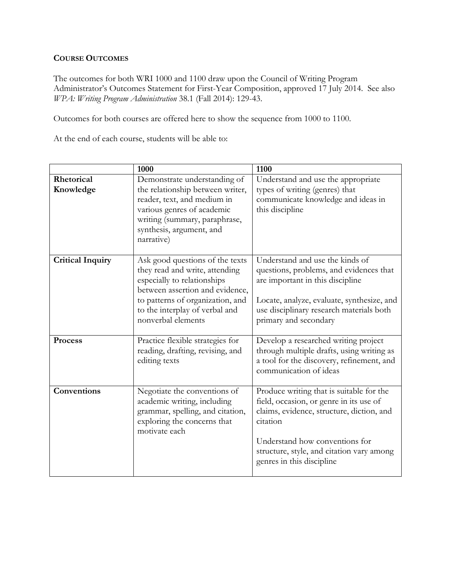## **COURSE OUTCOMES**

The outcomes for both WRI 1000 and 1100 draw upon the Council of Writing Program Administrator's Outcomes Statement for First-Year Composition, approved 17 July 2014. See also *WPA: Writing Program Administration* 38.1 (Fall 2014): 129-43.

Outcomes for both courses are offered here to show the sequence from 1000 to 1100.

At the end of each course, students will be able to:

|                         | 1000                                                                                                                                                                                                                            | 1100                                                                                                                                                                                                                                                     |
|-------------------------|---------------------------------------------------------------------------------------------------------------------------------------------------------------------------------------------------------------------------------|----------------------------------------------------------------------------------------------------------------------------------------------------------------------------------------------------------------------------------------------------------|
| Rhetorical<br>Knowledge | Demonstrate understanding of<br>the relationship between writer,<br>reader, text, and medium in<br>various genres of academic<br>writing (summary, paraphrase,<br>synthesis, argument, and<br>narrative)                        | Understand and use the appropriate<br>types of writing (genres) that<br>communicate knowledge and ideas in<br>this discipline                                                                                                                            |
| <b>Critical Inquiry</b> | Ask good questions of the texts<br>they read and write, attending<br>especially to relationships<br>between assertion and evidence,<br>to patterns of organization, and<br>to the interplay of verbal and<br>nonverbal elements | Understand and use the kinds of<br>questions, problems, and evidences that<br>are important in this discipline<br>Locate, analyze, evaluate, synthesize, and<br>use disciplinary research materials both<br>primary and secondary                        |
| <b>Process</b>          | Practice flexible strategies for<br>reading, drafting, revising, and<br>editing texts                                                                                                                                           | Develop a researched writing project<br>through multiple drafts, using writing as<br>a tool for the discovery, refinement, and<br>communication of ideas                                                                                                 |
| Conventions             | Negotiate the conventions of<br>academic writing, including<br>grammar, spelling, and citation,<br>exploring the concerns that<br>motivate each                                                                                 | Produce writing that is suitable for the<br>field, occasion, or genre in its use of<br>claims, evidence, structure, diction, and<br>citation<br>Understand how conventions for<br>structure, style, and citation vary among<br>genres in this discipline |